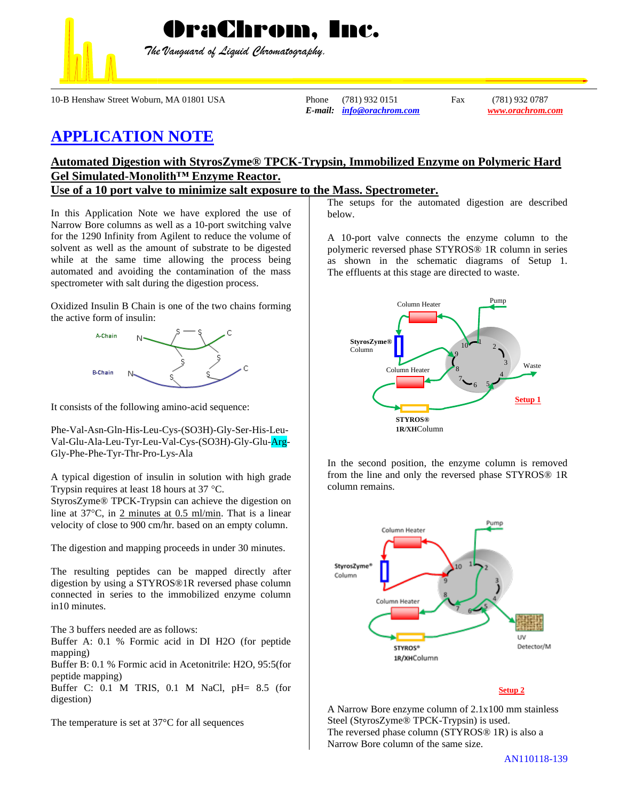

*The Vanguard of Liquid Chromatography.*

OraChrom, Inc.

10-B Henshaw Street Woburn, MA 01801 USA Phone (781) 932 0151 Fax (781) 932 0787

*E-mail: [info@orachrom.com](mailto:info@orachrom.com) www.orachrom.com*

## **APPLICATION NOTE**

## **Automated Digestion with StyrosZyme® TPCK-Trypsin, Immobilized Enzyme on Polymeric Hard Gel Simulated-Monolith™ Enzyme Reactor.**

**Use of a 10 port valve to minimize salt exposure to the Mass. Spectrometer.**

In this Application Note we have explored the use of Narrow Bore columns as well as a 10-port switching valve for the 1290 Infinity from Agilent to reduce the volume of solvent as well as the amount of substrate to be digested while at the same time allowing the process being automated and avoiding the contamination of the mass spectrometer with salt during the digestion process.

Oxidized Insulin B Chain is one of the two chains forming the active form of insulin:



It consists of the following amino-acid sequence:

Phe-Val-Asn-Gln-His-Leu-Cys-(SO3H)-Gly-Ser-His-Leu-Val-Glu-Ala-Leu-Tyr-Leu-Val-Cys-(SO3H)-Gly-Glu-Arg-Gly-Phe-Phe-Tyr-Thr-Pro-Lys-Ala

A typical digestion of insulin in solution with high grade Trypsin requires at least 18 hours at  $37 \text{ °C}$ .

StyrosZyme® TPCK-Trypsin can achieve the digestion on line at  $37^{\circ}$ C, in 2 minutes at 0.5 ml/min. That is a linear velocity of close to 900 cm/hr. based on an empty column.

The digestion and mapping proceeds in under 30 minutes.

The resulting peptides can be mapped directly after digestion by using a STYROS®1R reversed phase column connected in series to the immobilized enzyme column in10 minutes.

The 3 buffers needed are as follows:

Buffer A: 0.1 % Formic acid in DI H2O (for peptide mapping)

Buffer B: 0.1 % Formic acid in Acetonitrile: H2O, 95:5(for peptide mapping)

Buffer C: 0.1 M TRIS, 0.1 M NaCl, pH= 8.5 (for digestion)

The temperature is set at 37°C for all sequences

The setups for the automated digestion are described below.

A 10-port valve connects the enzyme column to the polymeric reversed phase STYROS® 1R column in series as shown in the schematic diagrams of Setup 1. The effluents at this stage are directed to waste.



In the second position, the enzyme column is removed from the line and only the reversed phase STYROS® 1R column remains.



## **Setup 2**

A Narrow Bore enzyme column of 2.1x100 mm stainless Steel (StyrosZyme® TPCK-Trypsin) is used. The reversed phase column (STYROS® 1R) is also a Narrow Bore column of the same size.